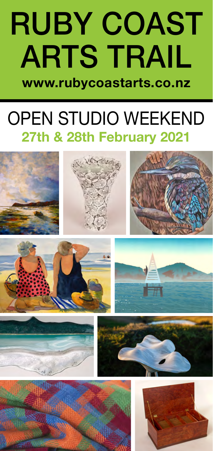## RUBY COAST ARTS TRAIL **www.rubycoastarts.co.nz**

## OPEN STUDIO WEEKEND **27th & 28th February 2021**